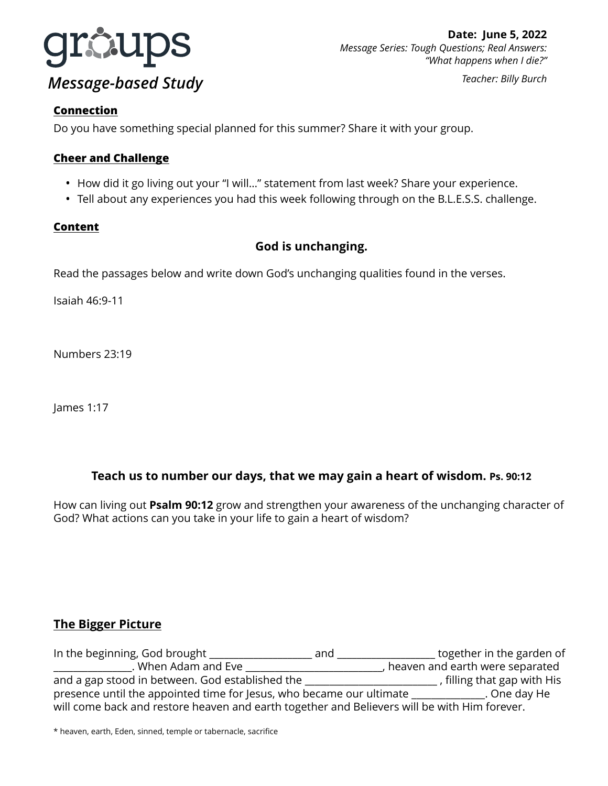

#### **Connection**

Do you have something special planned for this summer? Share it with your group.

## **Cheer and Challenge**

- How did it go living out your "I will…" statement from last week? Share your experience.
- Tell about any experiences you had this week following through on the B.L.E.S.S. challenge.

## **Content**

# **God is unchanging.**

Read the passages below and write down God's unchanging qualities found in the verses.

Isaiah 46:9-11

Numbers 23:19

James 1:17

# **Teach us to number our days, that we may gain a heart of wisdom. Ps. 90:12**

How can living out **Psalm 90:12** grow and strengthen your awareness of the unchanging character of God? What actions can you take in your life to gain a heart of wisdom?

## **The Bigger Picture**

In the beginning, God brought \_\_\_\_\_\_\_\_\_\_\_\_\_\_\_\_\_\_\_\_\_ and \_\_\_\_\_\_\_\_\_\_\_\_\_\_\_\_\_\_\_\_ together in the garden of \_\_\_\_\_\_\_\_\_\_\_\_\_\_\_\_. When Adam and Eve \_\_\_\_\_\_\_\_\_\_\_\_\_\_\_\_\_\_\_\_\_\_\_\_\_\_\_\_\_, heaven and earth were separated and a gap stood in between. God established the \_\_\_\_\_\_\_\_\_\_\_\_\_\_\_\_\_\_\_\_\_\_\_\_\_\_\_\_\_\_\_, filling that gap with His presence until the appointed time for Jesus, who became our ultimate \_\_\_\_\_\_\_\_\_\_\_\_\_\_\_. One day He will come back and restore heaven and earth together and Believers will be with Him forever.

\* heaven, earth, Eden, sinned, temple or tabernacle, sacrifice